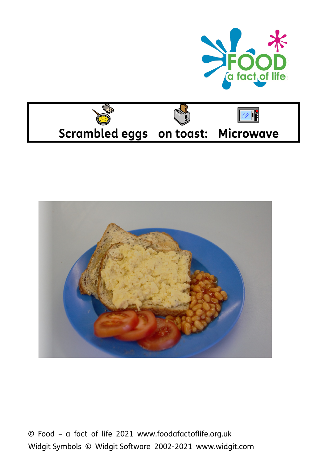





© Food – a fact of life 2021 www.foodafactoflife.org.uk Widgit Symbols © Widgit Software 2002-2021 www.widgit.com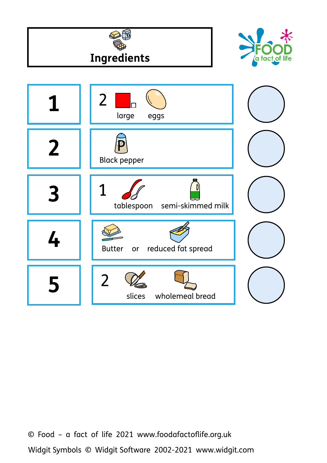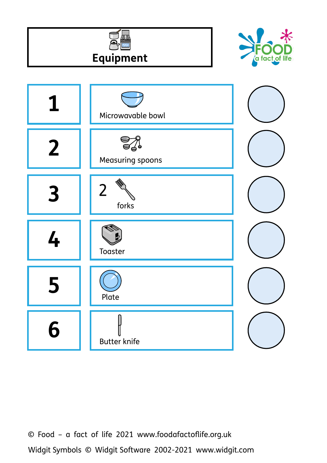



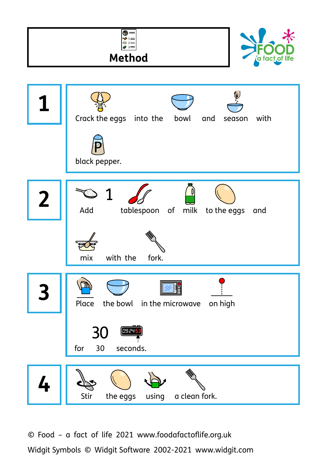![](_page_3_Figure_0.jpeg)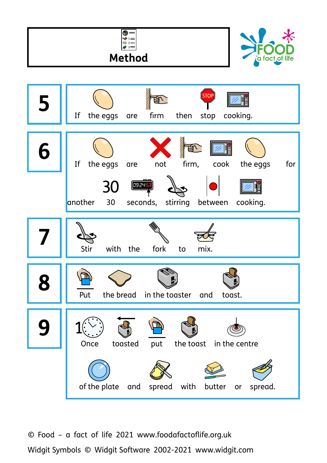![](_page_4_Figure_0.jpeg)